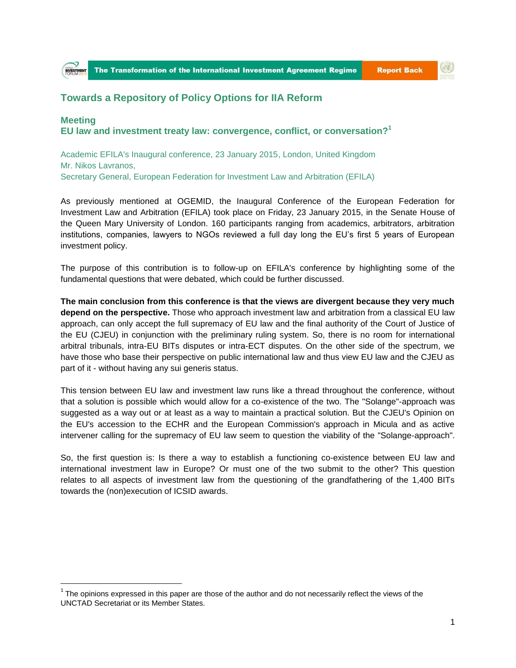

**Report Back** 



## **Towards a Repository of Policy Options for IIA Reform**

**Meeting EU law and investment treaty law: convergence, conflict, or conversation?<sup>1</sup>**

Academic EFILA's Inaugural conference, 23 January 2015, London, United Kingdom Mr. Nikos Lavranos, Secretary General, European Federation for Investment Law and Arbitration (EFILA)

As previously mentioned at OGEMID, the Inaugural Conference of the European Federation for Investment Law and Arbitration (EFILA) took place on Friday, 23 January 2015, in the Senate House of the Queen Mary University of London. 160 participants ranging from academics, arbitrators, arbitration institutions, companies, lawyers to NGOs reviewed a full day long the EU's first 5 years of European investment policy.

The purpose of this contribution is to follow-up on EFILA's conference by highlighting some of the fundamental questions that were debated, which could be further discussed.

**The main conclusion from this conference is that the views are divergent because they very much depend on the perspective.** Those who approach investment law and arbitration from a classical EU law approach, can only accept the full supremacy of EU law and the final authority of the Court of Justice of the EU (CJEU) in conjunction with the preliminary ruling system. So, there is no room for international arbitral tribunals, intra-EU BITs disputes or intra-ECT disputes. On the other side of the spectrum, we have those who base their perspective on public international law and thus view EU law and the CJEU as part of it - without having any sui generis status.

This tension between EU law and investment law runs like a thread throughout the conference, without that a solution is possible which would allow for a co-existence of the two. The "Solange"-approach was suggested as a way out or at least as a way to maintain a practical solution. But the CJEU's Opinion on the EU's accession to the ECHR and the European Commission's approach in Micula and as active intervener calling for the supremacy of EU law seem to question the viability of the "Solange-approach".

So, the first question is: Is there a way to establish a functioning co-existence between EU law and international investment law in Europe? Or must one of the two submit to the other? This question relates to all aspects of investment law from the questioning of the grandfathering of the 1,400 BITs towards the (non)execution of ICSID awards.

 $\overline{a}$ 

 $1$  The opinions expressed in this paper are those of the author and do not necessarily reflect the views of the UNCTAD Secretariat or its Member States.